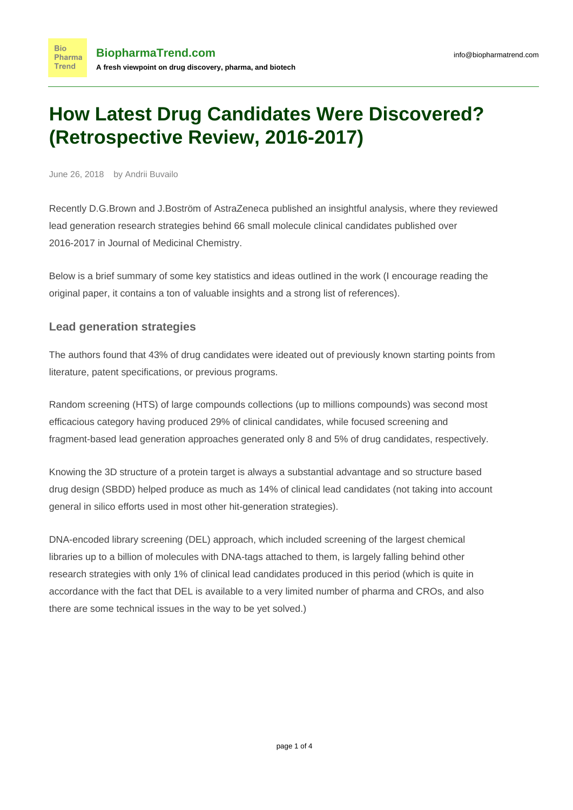## **How Latest Drug Candidates Were Discovered? (Retrospective Review, 2016-2017)**

June 26, 2018 by Andrii Buvailo

**Bio** 

Recently D.G.Brown and J.Boström of AstraZeneca published an [insightful analysis](https://pubs.acs.org/doi/10.1021/acs.jmedchem.8b00675), where they reviewed lead generation research strategies behind 66 small molecule clinical candidates published over 2016-2017 in Journal of Medicinal Chemistry.

Below is a brief summary of some key statistics and ideas outlined in the work (I encourage reading the original paper, it contains a ton of valuable insights and a strong list of references).

## **Lead generation strategies**

The authors found that 43% of drug candidates were ideated out of previously known starting points from literature, patent specifications, or previous programs.

Random screening (HTS) of large compounds collections (up to millions compounds) was second most efficacious category having produced 29% of clinical candidates, while focused screening and fragment-based lead generation approaches generated only 8 and 5% of drug candidates, respectively.

Knowing the 3D structure of a protein target is always a substantial advantage and so structure based drug design (SBDD) helped produce as much as 14% of clinical lead candidates (not taking into account general in silico efforts used in most other hit-generation strategies).

DNA-encoded library screening (DEL) approach, which included screening of the largest chemical libraries up to a billion of molecules with DNA-tags attached to them, is largely falling behind other research strategies with only 1% of clinical lead candidates produced in this period (which is quite in accordance with the fact that DEL is available to a very limited number of pharma and CROs, and also there are some technical issues in the way to be yet solved.)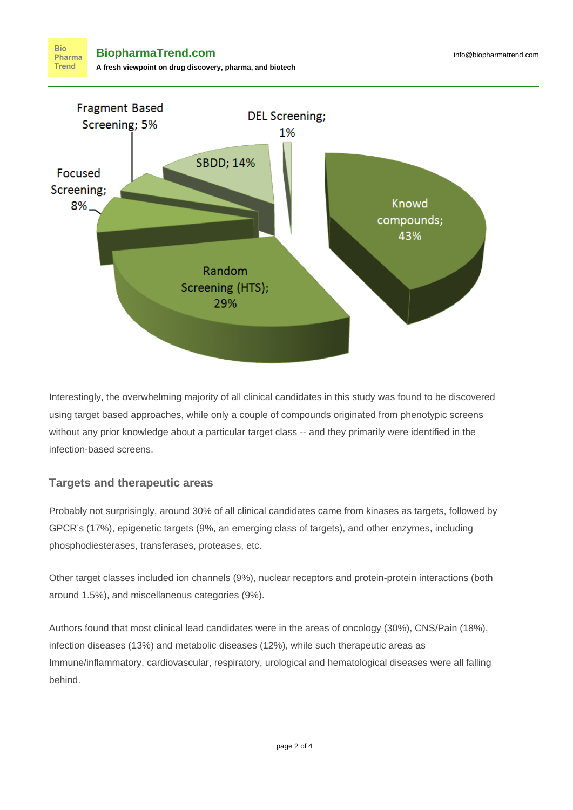

Interestingly, the overwhelming majority of all clinical candidates in this study was found to be discovered using target based approaches, while only a couple of compounds originated from phenotypic screens without any prior knowledge about a particular target class -- and they primarily were identified in the infection-based screens.

## **Targets and therapeutic areas**

Probably not surprisingly, around 30% of all clinical candidates came from kinases as targets, followed by GPCR's (17%), epigenetic targets (9%, an emerging class of targets), and other enzymes, including phosphodiesterases, transferases, proteases, etc.

Other target classes included ion channels (9%), nuclear receptors and protein-protein interactions (both around 1.5%), and miscellaneous categories (9%).

Authors found that most clinical lead candidates were in the areas of oncology (30%), CNS/Pain (18%), infection diseases (13%) and metabolic diseases (12%), while such therapeutic areas as Immune/inflammatory, cardiovascular, respiratory, urological and hematological diseases were all falling behind.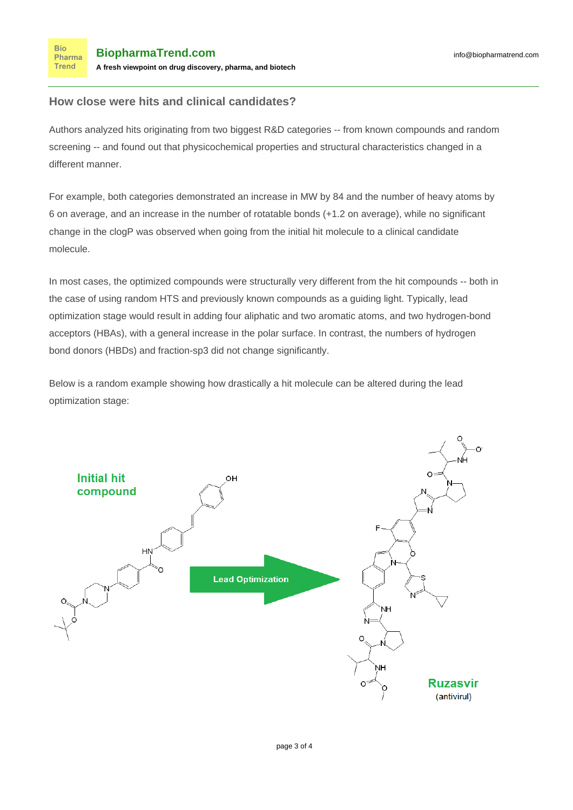## **How close were hits and clinical candidates?**

Authors analyzed hits originating from two biggest R&D categories -- from known compounds and random screening -- and found out that physicochemical properties and structural characteristics changed in a different manner.

For example, both categories demonstrated an increase in MW by 84 and the number of heavy atoms by 6 on average, and an increase in the number of rotatable bonds (+1.2 on average), while no significant change in the clogP was observed when going from the initial hit molecule to a clinical candidate molecule.

In most cases, the optimized compounds were structurally very different from the hit compounds -- both in the case of using random HTS and previously known compounds as a guiding light. Typically, lead optimization stage would result in adding four aliphatic and two aromatic atoms, and two hydrogen-bond acceptors (HBAs), with a general increase in the polar surface. In contrast, the numbers of hydrogen bond donors (HBDs) and fraction-sp3 did not change significantly.

Below is a random example showing how drastically a hit molecule can be altered during the lead optimization stage: